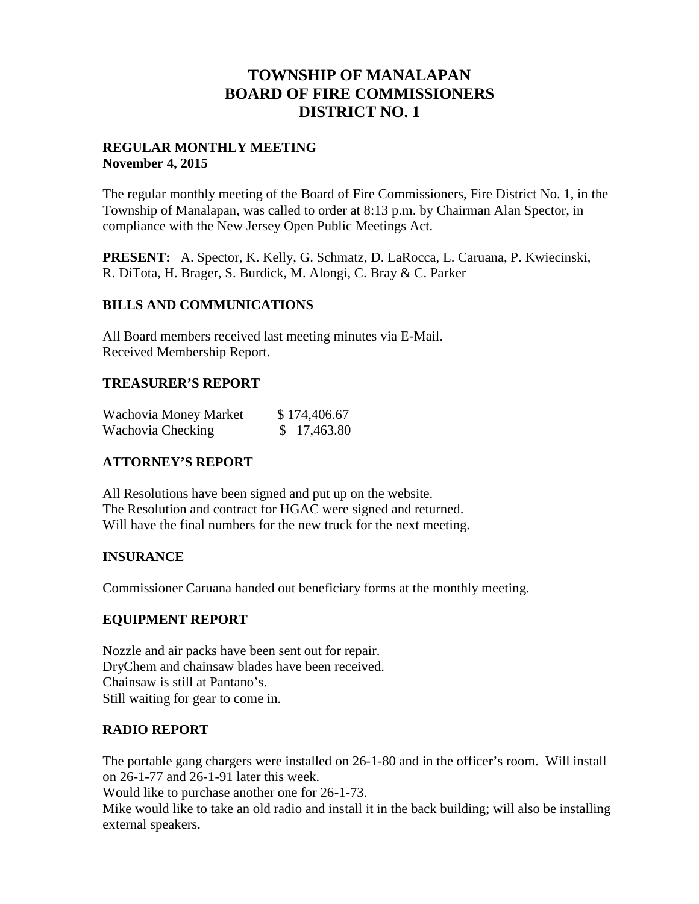# **TOWNSHIP OF MANALAPAN BOARD OF FIRE COMMISSIONERS DISTRICT NO. 1**

### **REGULAR MONTHLY MEETING November 4, 2015**

The regular monthly meeting of the Board of Fire Commissioners, Fire District No. 1, in the Township of Manalapan, was called to order at 8:13 p.m. by Chairman Alan Spector, in compliance with the New Jersey Open Public Meetings Act.

**PRESENT:** A. Spector, K. Kelly, G. Schmatz, D. LaRocca, L. Caruana, P. Kwiecinski, R. DiTota, H. Brager, S. Burdick, M. Alongi, C. Bray & C. Parker

## **BILLS AND COMMUNICATIONS**

All Board members received last meeting minutes via E-Mail. Received Membership Report.

## **TREASURER'S REPORT**

| Wachovia Money Market | \$174,406.67 |
|-----------------------|--------------|
| Wachovia Checking     | \$17,463.80  |

## **ATTORNEY'S REPORT**

All Resolutions have been signed and put up on the website. The Resolution and contract for HGAC were signed and returned. Will have the final numbers for the new truck for the next meeting.

## **INSURANCE**

Commissioner Caruana handed out beneficiary forms at the monthly meeting.

## **EQUIPMENT REPORT**

Nozzle and air packs have been sent out for repair. DryChem and chainsaw blades have been received. Chainsaw is still at Pantano's. Still waiting for gear to come in.

#### **RADIO REPORT**

The portable gang chargers were installed on 26-1-80 and in the officer's room. Will install on 26-1-77 and 26-1-91 later this week.

Would like to purchase another one for 26-1-73.

Mike would like to take an old radio and install it in the back building; will also be installing external speakers.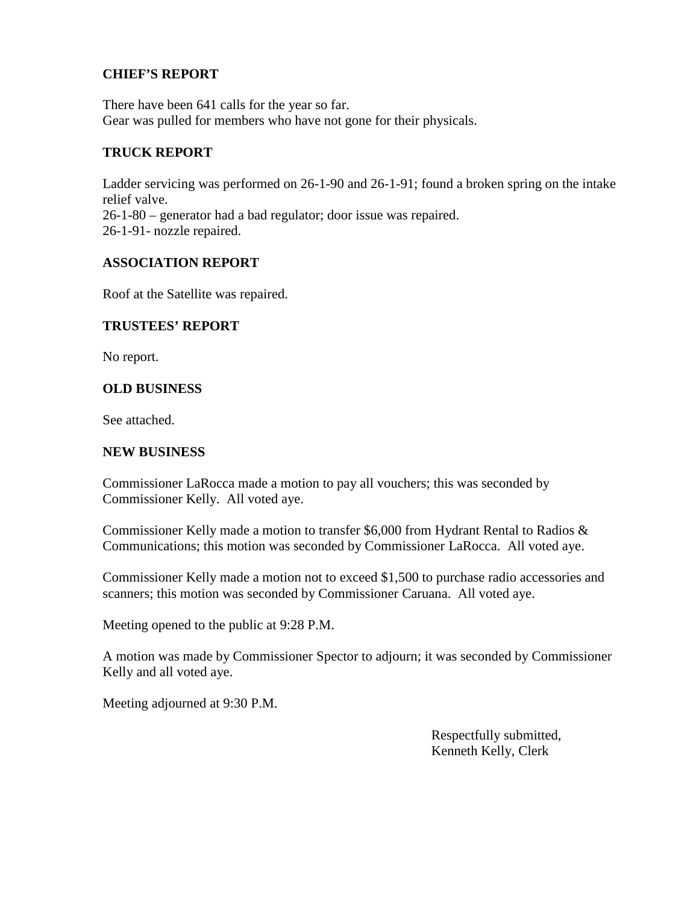## **CHIEF'S REPORT**

There have been 641 calls for the year so far. Gear was pulled for members who have not gone for their physicals.

#### **TRUCK REPORT**

Ladder servicing was performed on 26-1-90 and 26-1-91; found a broken spring on the intake relief valve. 26-1-80 – generator had a bad regulator; door issue was repaired. 26-1-91- nozzle repaired.

## **ASSOCIATION REPORT**

Roof at the Satellite was repaired.

#### **TRUSTEES' REPORT**

No report.

## **OLD BUSINESS**

See attached.

#### **NEW BUSINESS**

Commissioner LaRocca made a motion to pay all vouchers; this was seconded by Commissioner Kelly. All voted aye.

Commissioner Kelly made a motion to transfer \$6,000 from Hydrant Rental to Radios & Communications; this motion was seconded by Commissioner LaRocca. All voted aye.

Commissioner Kelly made a motion not to exceed \$1,500 to purchase radio accessories and scanners; this motion was seconded by Commissioner Caruana. All voted aye.

Meeting opened to the public at 9:28 P.M.

A motion was made by Commissioner Spector to adjourn; it was seconded by Commissioner Kelly and all voted aye.

Meeting adjourned at 9:30 P.M.

Respectfully submitted, Kenneth Kelly, Clerk